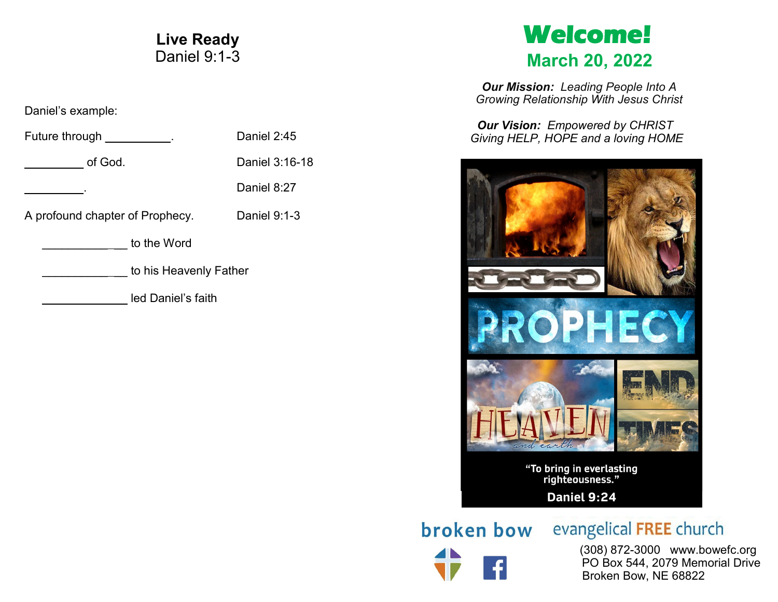# **Live Ready** Daniel 9:1-3

Daniel's example:

| Future through                  | Daniel 2:45    |
|---------------------------------|----------------|
| of God.                         | Daniel 3:16-18 |
|                                 | Daniel 8:27    |
| A profound chapter of Prophecy. | Daniel 9:1-3   |
| to the Word                     |                |
| to his Heavenly Father          |                |
| led Daniel's faith              |                |

# **Welcome! March 20, 2022**

*Our Mission: Leading People Into A Growing Relationship With Jesus Christ*

*Our Vision: Empowered by CHRIST Giving HELP, HOPE and a loving HOME*



broken bow

evangelical FREE church

 (308) 872-3000 www.bowefc.org PO Box 544, 2079 Memorial Drive Broken Bow, NE 68822